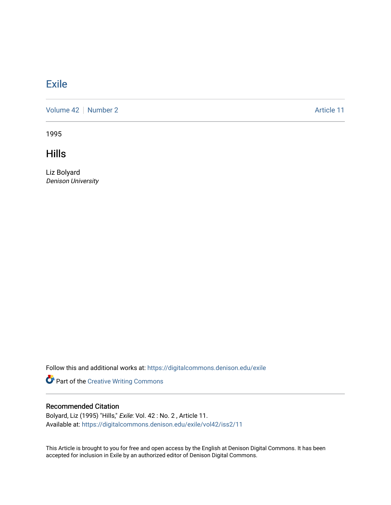## **[Exile](https://digitalcommons.denison.edu/exile)**

[Volume 42](https://digitalcommons.denison.edu/exile/vol42) | [Number 2](https://digitalcommons.denison.edu/exile/vol42/iss2) Article 11

1995

**Hills** 

Liz Bolyard Denison University

Follow this and additional works at: [https://digitalcommons.denison.edu/exile](https://digitalcommons.denison.edu/exile?utm_source=digitalcommons.denison.edu%2Fexile%2Fvol42%2Fiss2%2F11&utm_medium=PDF&utm_campaign=PDFCoverPages) 

Part of the [Creative Writing Commons](http://network.bepress.com/hgg/discipline/574?utm_source=digitalcommons.denison.edu%2Fexile%2Fvol42%2Fiss2%2F11&utm_medium=PDF&utm_campaign=PDFCoverPages) 

## Recommended Citation

Bolyard, Liz (1995) "Hills," Exile: Vol. 42 : No. 2 , Article 11. Available at: [https://digitalcommons.denison.edu/exile/vol42/iss2/11](https://digitalcommons.denison.edu/exile/vol42/iss2/11?utm_source=digitalcommons.denison.edu%2Fexile%2Fvol42%2Fiss2%2F11&utm_medium=PDF&utm_campaign=PDFCoverPages)

This Article is brought to you for free and open access by the English at Denison Digital Commons. It has been accepted for inclusion in Exile by an authorized editor of Denison Digital Commons.